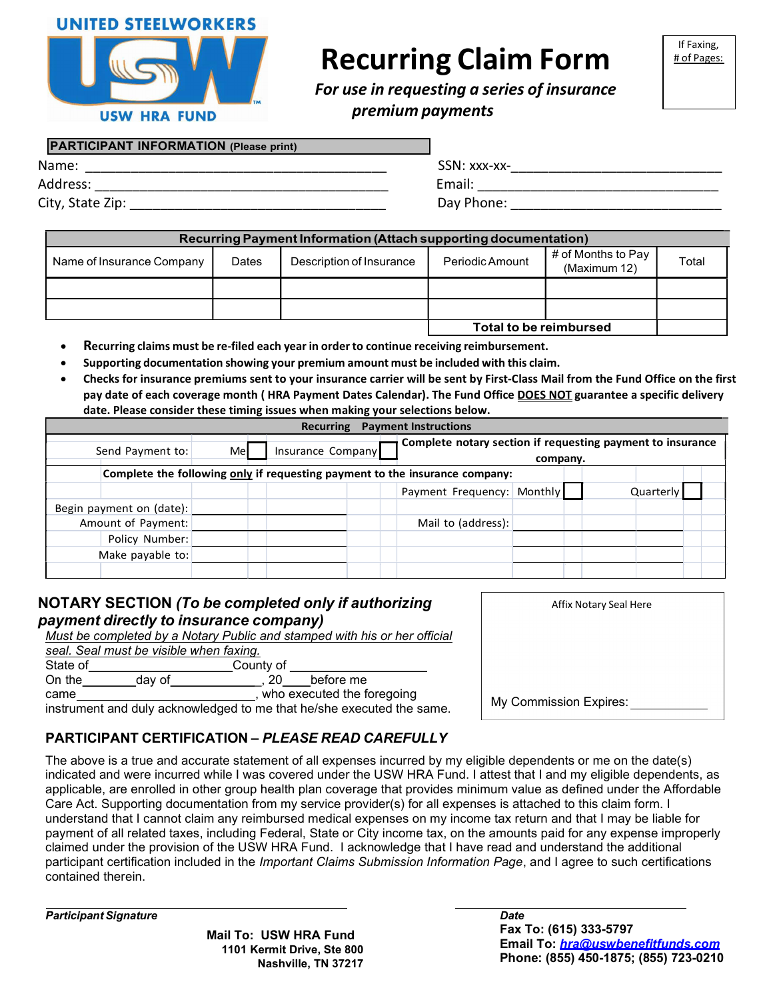

**USW HRA FUND** 

# Recurring Claim Form

For use in requesting a series of insurance premium payments

#### PARTICIPANT INFORMATION (Please print)

| Name:            | SSN: xxx-xx- |
|------------------|--------------|
| Address:         | Email:       |
| City, State Zip: | Day Phone:   |

| SSN: xxx-xx- |  |  |
|--------------|--|--|
| Email:       |  |  |
| - '          |  |  |

Day Phone: **Example 2** Day Phone:  $\overline{a}$ 

| Recurring Payment Information (Attach supporting documentation) |       |                          |                        |                                    |       |
|-----------------------------------------------------------------|-------|--------------------------|------------------------|------------------------------------|-------|
| Name of Insurance Company                                       | Dates | Description of Insurance | Periodic Amount        | # of Months to Pay<br>(Maximum 12) | Total |
|                                                                 |       |                          |                        |                                    |       |
|                                                                 |       |                          |                        |                                    |       |
|                                                                 |       |                          | Total to be reimbursed |                                    |       |

- Recurring claims must be re-filed each year in order to continue receiving reimbursement.
- Supporting documentation showing your premium amount must be included with this claim.
- Checks for insurance premiums sent to your insurance carrier will be sent by First-Class Mail from the Fund Office on the first pay date of each coverage month (HRA Payment Dates Calendar). The Fund Office DOES NOT guarantee a specific delivery date. Please consider these timing issues when making your selections below.

|                          |     | Recurring                                                                   | <b>Payment Instructions</b>                                |          |           |  |
|--------------------------|-----|-----------------------------------------------------------------------------|------------------------------------------------------------|----------|-----------|--|
| Send Payment to:         | Mel | Insurance Company                                                           | Complete notary section if requesting payment to insurance | company. |           |  |
|                          |     | Complete the following only if requesting payment to the insurance company: |                                                            |          |           |  |
|                          |     |                                                                             | Payment Frequency: Monthly                                 |          | Quarterly |  |
| Begin payment on (date): |     |                                                                             |                                                            |          |           |  |
| Amount of Payment:       |     |                                                                             | Mail to (address):                                         |          |           |  |
| Policy Number:           |     |                                                                             |                                                            |          |           |  |
| Make payable to:         |     |                                                                             |                                                            |          |           |  |
|                          |     |                                                                             |                                                            |          |           |  |

#### NOTARY SECTION (To be completed only if authorizing payment directly to insurance company)

Must be completed by a Notary Public and stamped with his or her official

|          | made bo completed by a recent rabile and clamped men me or nor om |           |                            |  |
|----------|-------------------------------------------------------------------|-----------|----------------------------|--|
|          | seal. Seal must be visible when faxing.                           |           |                            |  |
| State of |                                                                   | County of |                            |  |
| On the   | dav of                                                            |           | before me                  |  |
| came     |                                                                   |           | who executed the foregoing |  |
|          |                                                                   |           |                            |  |

instrument and duly acknowledged to me that he/she executed the same.

## PARTICIPANT CERTIFICATION – PLEASE READ CAREFULLY

The above is a true and accurate statement of all expenses incurred by my eligible dependents or me on the date(s) indicated and were incurred while I was covered under the USW HRA Fund. I attest that I and my eligible dependents, as applicable, are enrolled in other group health plan coverage that provides minimum value as defined under the Affordable Care Act. Supporting documentation from my service provider(s) for all expenses is attached to this claim form. I understand that I cannot claim any reimbursed medical expenses on my income tax return and that I may be liable for payment of all related taxes, including Federal, State or City income tax, on the amounts paid for any expense improperly claimed under the provision of the USW HRA Fund. I acknowledge that I have read and understand the additional participant certification included in the Important Claims Submission Information Page, and I agree to such certifications contained therein.

Participant Signature

Mail To: USW HRA Fund 1101 Kermit Drive, Ste 800 Nashville, TN 37217

| Affix Notary Seal Here |  |
|------------------------|--|
|                        |  |
|                        |  |
|                        |  |
| My Commission Expires: |  |